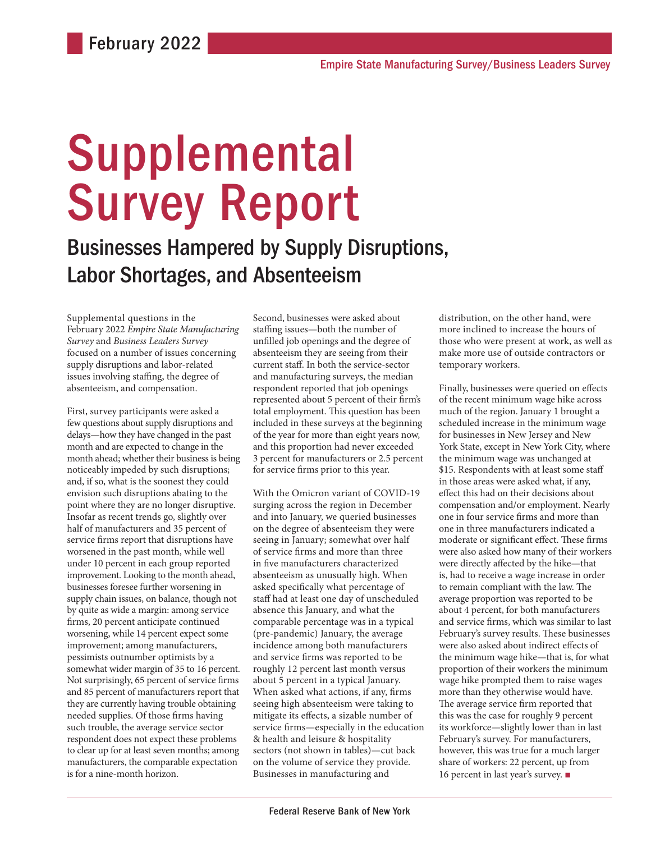# Supplemental Survey Report

Businesses Hampered by Supply Disruptions, Labor Shortages, and Absenteeism

Supplemental questions in the February 2022 *Empire State Manufacturing Survey* and *Business Leaders Survey* focused on a number of issues concerning supply disruptions and labor-related issues involving staffing, the degree of absenteeism, and compensation.

First, survey participants were asked a few questions about supply disruptions and delays—how they have changed in the past month and are expected to change in the month ahead; whether their business is being noticeably impeded by such disruptions; and, if so, what is the soonest they could envision such disruptions abating to the point where they are no longer disruptive. Insofar as recent trends go, slightly over half of manufacturers and 35 percent of service firms report that disruptions have worsened in the past month, while well under 10 percent in each group reported improvement. Looking to the month ahead, businesses foresee further worsening in supply chain issues, on balance, though not by quite as wide a margin: among service firms, 20 percent anticipate continued worsening, while 14 percent expect some improvement; among manufacturers, pessimists outnumber optimists by a somewhat wider margin of 35 to 16 percent. Not surprisingly, 65 percent of service firms and 85 percent of manufacturers report that they are currently having trouble obtaining needed supplies. Of those firms having such trouble, the average service sector respondent does not expect these problems to clear up for at least seven months; among manufacturers, the comparable expectation is for a nine-month horizon.

Second, businesses were asked about staffing issues—both the number of unfilled job openings and the degree of absenteeism they are seeing from their current staff. In both the service-sector and manufacturing surveys, the median respondent reported that job openings represented about 5 percent of their firm's total employment. This question has been included in these surveys at the beginning of the year for more than eight years now, and this proportion had never exceeded 3 percent for manufacturers or 2.5 percent for service firms prior to this year.

With the Omicron variant of COVID-19 surging across the region in December and into January, we queried businesses on the degree of absenteeism they were seeing in January; somewhat over half of service firms and more than three in five manufacturers characterized absenteeism as unusually high. When asked specifically what percentage of staff had at least one day of unscheduled absence this January, and what the comparable percentage was in a typical (pre-pandemic) January, the average incidence among both manufacturers and service firms was reported to be roughly 12 percent last month versus about 5 percent in a typical January. When asked what actions, if any, firms seeing high absenteeism were taking to mitigate its effects, a sizable number of service firms—especially in the education & health and leisure & hospitality sectors (not shown in tables)—cut back on the volume of service they provide. Businesses in manufacturing and

distribution, on the other hand, were more inclined to increase the hours of those who were present at work, as well as make more use of outside contractors or temporary workers.

Finally, businesses were queried on effects of the recent minimum wage hike across much of the region. January 1 brought a scheduled increase in the minimum wage for businesses in New Jersey and New York State, except in New York City, where the minimum wage was unchanged at \$15. Respondents with at least some staff in those areas were asked what, if any, effect this had on their decisions about compensation and/or employment. Nearly one in four service firms and more than one in three manufacturers indicated a moderate or significant effect. These firms were also asked how many of their workers were directly affected by the hike—that is, had to receive a wage increase in order to remain compliant with the law. The average proportion was reported to be about 4 percent, for both manufacturers and service firms, which was similar to last February's survey results. These businesses were also asked about indirect effects of the minimum wage hike—that is, for what proportion of their workers the minimum wage hike prompted them to raise wages more than they otherwise would have. The average service firm reported that this was the case for roughly 9 percent its workforce—slightly lower than in last February's survey. For manufacturers, however, this was true for a much larger share of workers: 22 percent, up from 16 percent in last year's survey. ■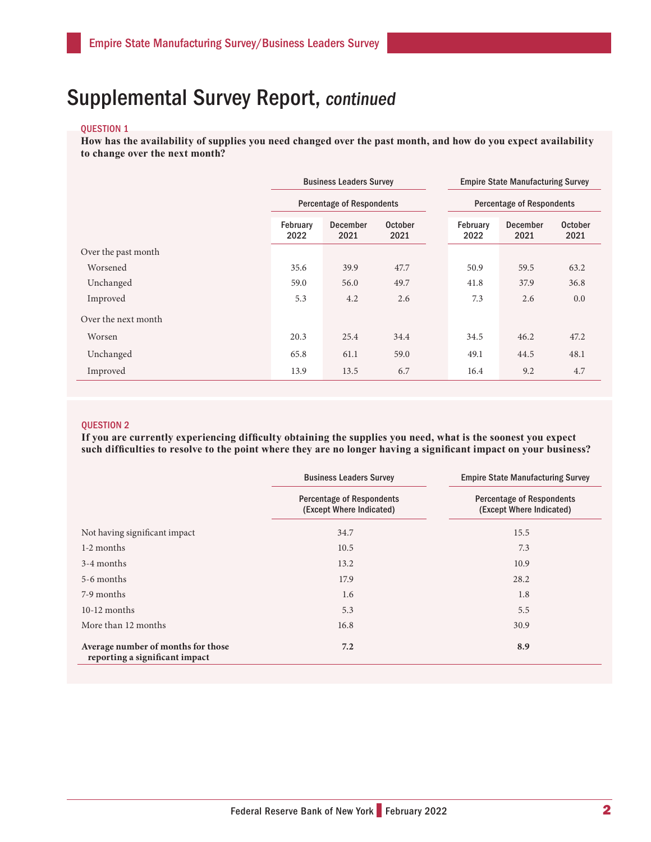### QUESTION 1

**How has the availability of supplies you need changed over the past month, and how do you expect availability to change over the next month?** 

|                     |                  | <b>Business Leaders Survey</b>   |                        | <b>Empire State Manufacturing Survey</b> |                         |                        |  |  |
|---------------------|------------------|----------------------------------|------------------------|------------------------------------------|-------------------------|------------------------|--|--|
|                     |                  | <b>Percentage of Respondents</b> |                        | <b>Percentage of Respondents</b>         |                         |                        |  |  |
|                     | February<br>2022 | December<br>2021                 | <b>October</b><br>2021 | February<br>2022                         | <b>December</b><br>2021 | <b>October</b><br>2021 |  |  |
| Over the past month |                  |                                  |                        |                                          |                         |                        |  |  |
| Worsened            | 35.6             | 39.9                             | 47.7                   | 50.9                                     | 59.5                    | 63.2                   |  |  |
| Unchanged           | 59.0             | 56.0                             | 49.7                   | 41.8                                     | 37.9                    | 36.8                   |  |  |
| Improved            | 5.3              | 4.2                              | 2.6                    | 7.3                                      | 2.6                     | 0.0                    |  |  |
| Over the next month |                  |                                  |                        |                                          |                         |                        |  |  |
| Worsen              | 20.3             | 25.4                             | 34.4                   | 34.5                                     | 46.2                    | 47.2                   |  |  |
| Unchanged           | 65.8             | 61.1                             | 59.0                   | 49.1                                     | 44.5                    | 48.1                   |  |  |
| Improved            | 13.9             | 13.5                             | 6.7                    | 16.4                                     | 9.2                     | 4.7                    |  |  |

### QUESTION 2

**If you are currently experiencing difficulty obtaining the supplies you need, what is the soonest you expect such difficulties to resolve to the point where they are no longer having a significant impact on your business?** 

|                                                                      | <b>Business Leaders Survey</b>                               | <b>Empire State Manufacturing Survey</b>                     |
|----------------------------------------------------------------------|--------------------------------------------------------------|--------------------------------------------------------------|
|                                                                      | <b>Percentage of Respondents</b><br>(Except Where Indicated) | <b>Percentage of Respondents</b><br>(Except Where Indicated) |
| Not having significant impact                                        | 34.7                                                         | 15.5                                                         |
| 1-2 months                                                           | 10.5                                                         | 7.3                                                          |
| 3-4 months                                                           | 13.2                                                         | 10.9                                                         |
| 5-6 months                                                           | 17.9                                                         | 28.2                                                         |
| 7-9 months                                                           | 1.6                                                          | 1.8                                                          |
| $10-12$ months                                                       | 5.3                                                          | 5.5                                                          |
| More than 12 months                                                  | 16.8                                                         | 30.9                                                         |
| Average number of months for those<br>reporting a significant impact | 7.2                                                          | 8.9                                                          |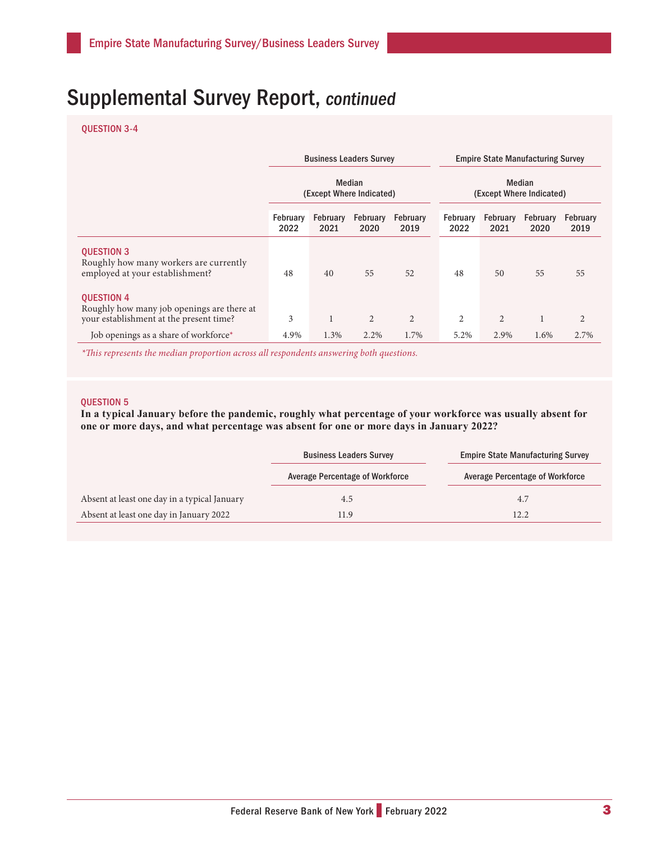### QUESTION 3-4

|                                                                                                            | <b>Business Leaders Survey</b>     |                  |                         |                         | <b>Empire State Manufacturing Survey</b> |                  |                         |                         |  |
|------------------------------------------------------------------------------------------------------------|------------------------------------|------------------|-------------------------|-------------------------|------------------------------------------|------------------|-------------------------|-------------------------|--|
|                                                                                                            | Median<br>(Except Where Indicated) |                  |                         |                         | Median<br>(Except Where Indicated)       |                  |                         |                         |  |
|                                                                                                            | February<br>2022                   | February<br>2021 | <b>February</b><br>2020 | <b>February</b><br>2019 | February<br>2022                         | February<br>2021 | <b>February</b><br>2020 | <b>February</b><br>2019 |  |
| <b>QUESTION 3</b><br>Roughly how many workers are currently<br>employed at your establishment?             | 48                                 | 40               | 55                      | 52                      | 48                                       | 50               | 55                      | 55                      |  |
| <b>QUESTION 4</b><br>Roughly how many job openings are there at<br>your establishment at the present time? | 3                                  | T                | 2                       | $\overline{2}$          | $\overline{2}$                           | $\overline{2}$   |                         | 2                       |  |
| Job openings as a share of workforce*                                                                      | 4.9%                               | 1.3%             | 2.2%                    | 1.7%                    | 5.2%                                     | 2.9%             | 1.6%                    | 2.7%                    |  |

*\*This represents the median proportion across all respondents answering both questions.*

#### QUESTION 5

**In a typical January before the pandemic, roughly what percentage of your workforce was usually absent for one or more days, and what percentage was absent for one or more days in January 2022?** 

|                                              | <b>Business Leaders Survey</b>         | <b>Empire State Manufacturing Survey</b> |
|----------------------------------------------|----------------------------------------|------------------------------------------|
|                                              | <b>Average Percentage of Workforce</b> | <b>Average Percentage of Workforce</b>   |
| Absent at least one day in a typical January | 4.5                                    | 4.7                                      |
| Absent at least one day in January 2022      | 11.9                                   | 12.2                                     |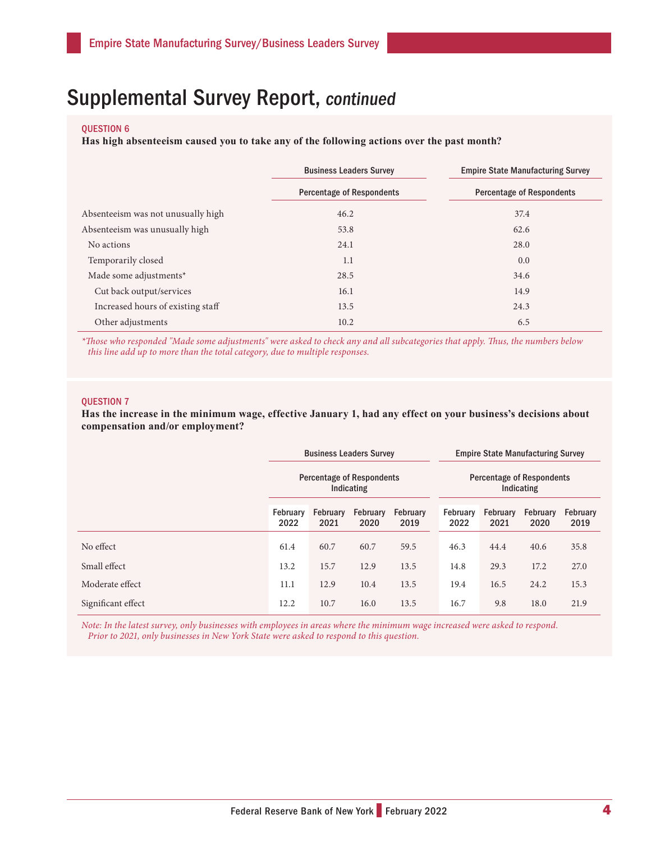### QUESTION 6

**Has high absenteeism caused you to take any of the following actions over the past month?** 

|                                    | <b>Business Leaders Survey</b>   | <b>Empire State Manufacturing Survey</b> |  |  |  |  |  |
|------------------------------------|----------------------------------|------------------------------------------|--|--|--|--|--|
|                                    | <b>Percentage of Respondents</b> | <b>Percentage of Respondents</b>         |  |  |  |  |  |
| Absenteeism was not unusually high | 46.2                             | 37.4                                     |  |  |  |  |  |
| Absenteeism was unusually high     | 53.8                             | 62.6                                     |  |  |  |  |  |
| No actions                         | 24.1                             | 28.0                                     |  |  |  |  |  |
| Temporarily closed                 | 1.1                              | 0.0                                      |  |  |  |  |  |
| Made some adjustments*             | 28.5                             | 34.6                                     |  |  |  |  |  |
| Cut back output/services           | 16.1                             | 14.9                                     |  |  |  |  |  |
| Increased hours of existing staff  | 13.5                             | 24.3                                     |  |  |  |  |  |
| Other adjustments                  | 10.2                             | 6.5                                      |  |  |  |  |  |

*\*Those who responded "Made some adjustments" were asked to check any and all subcategories that apply. Thus, the numbers below this line add up to more than the total category, due to multiple responses.*

#### QUESTION 7

**Has the increase in the minimum wage, effective January 1, had any effect on your business's decisions about compensation and/or employment?** 

|                    | <b>Business Leaders Survey</b>                 |                  |                  |                  | <b>Empire State Manufacturing Survey</b>       |                  |                  |                         |  |
|--------------------|------------------------------------------------|------------------|------------------|------------------|------------------------------------------------|------------------|------------------|-------------------------|--|
|                    | <b>Percentage of Respondents</b><br>Indicating |                  |                  |                  | <b>Percentage of Respondents</b><br>Indicating |                  |                  |                         |  |
|                    | February<br>2022                               | February<br>2021 | February<br>2020 | February<br>2019 | February<br>2022                               | February<br>2021 | February<br>2020 | <b>February</b><br>2019 |  |
| No effect          | 61.4                                           | 60.7             | 60.7             | 59.5             | 46.3                                           | 44.4             | 40.6             | 35.8                    |  |
| Small effect       | 13.2                                           | 15.7             | 12.9             | 13.5             | 14.8                                           | 29.3             | 17.2             | 27.0                    |  |
| Moderate effect    | 11.1                                           | 12.9             | 10.4             | 13.5             | 19.4                                           | 16.5             | 24.2             | 15.3                    |  |
| Significant effect | 12.2                                           | 10.7             | 16.0             | 13.5             | 16.7                                           | 9.8              | 18.0             | 21.9                    |  |

*Note: In the latest survey, only businesses with employees in areas where the minimum wage increased were asked to respond. Prior to 2021, only businesses in New York State were asked to respond to this question.*